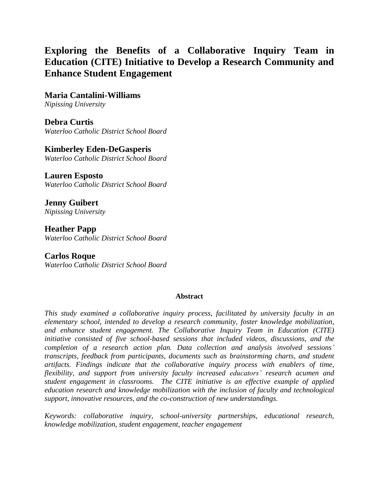# **Exploring the Benefits of a Collaborative Inquiry Team in Education (CITE) Initiative to Develop a Research Community and Enhance Student Engagement**

**Maria Cantalini-Williams** *Nipissing University*

**Debra Curtis** *Waterloo Catholic District School Board*

**Kimberley Eden-DeGasperis** *Waterloo Catholic District School Board*

**Lauren Esposto** *Waterloo Catholic District School Board*

**Jenny Guibert** *Nipissing University*

**Heather Papp** *Waterloo Catholic District School Board*

**Carlos Roque** *Waterloo Catholic District School Board*

#### **Abstract**

*This study examined a collaborative inquiry process, facilitated by university faculty in an elementary school, intended to develop a research community, foster knowledge mobilization, and enhance student engagement. The Collaborative Inquiry Team in Education (CITE) initiative consisted of five school-based sessions that included videos, discussions, and the completion of a research action plan. Data collection and analysis involved sessions' transcripts, feedback from participants, documents such as brainstorming charts, and student artifacts. Findings indicate that the collaborative inquiry process with enablers of time, flexibility, and support from university faculty increased educators' research acumen and student engagement in classrooms. The CITE initiative is an effective example of applied education research and knowledge mobilization with the inclusion of faculty and technological support, innovative resources, and the co-construction of new understandings.*

*Keywords: collaborative inquiry, school-university partnerships, educational research, knowledge mobilization, student engagement, teacher engagement*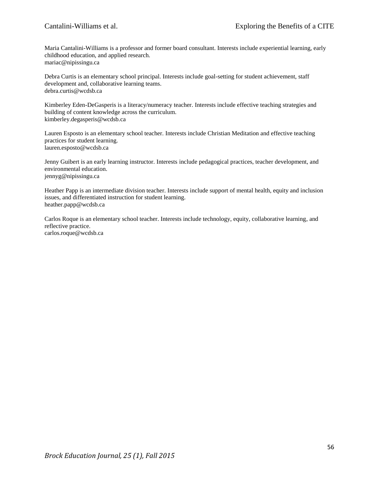Maria Cantalini-Williams is a professor and former board consultant. Interests include experiential learning, early childhood education, and applied research. mariac@nipissingu.ca

Debra Curtis is an elementary school principal. Interests include goal-setting for student achievement, staff development and, collaborative learning teams. debra.curtis@wcdsb.ca

Kimberley Eden-DeGasperis is a literacy/numeracy teacher. Interests include effective teaching strategies and building of content knowledge across the curriculum. kimberley.degasperis@wcdsb.ca

Lauren Esposto is an elementary school teacher. Interests include Christian Meditation and effective teaching practices for student learning. lauren.esposto@wcdsb.ca

Jenny Guibert is an early learning instructor. Interests include pedagogical practices, teacher development, and environmental education. jennyg@nipissingu.ca

Heather Papp is an intermediate division teacher. Interests include support of mental health, equity and inclusion issues, and differentiated instruction for student learning. heather.papp@wcdsb.ca

Carlos Roque is an elementary school teacher. Interests include technology, equity, collaborative learning, and reflective practice. carlos.roque@wcdsb.ca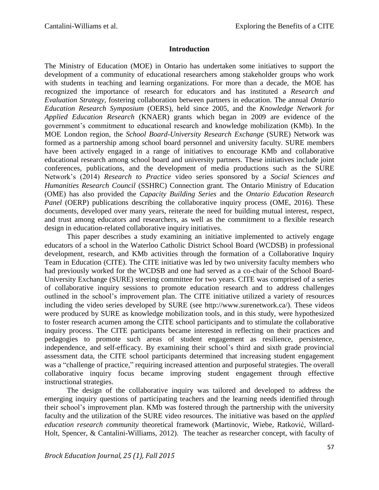#### **Introduction**

The Ministry of Education (MOE) in Ontario has undertaken some initiatives to support the development of a community of educational researchers among stakeholder groups who work with students in teaching and learning organizations. For more than a decade, the MOE has recognized the importance of research for educators and has instituted a *Research and Evaluation Strategy,* fostering collaboration between partners in education. The annual *Ontario Education Research Symposium* (OERS), held since 2005, and the *Knowledge Network for Applied Education Research* (KNAER) grants which began in 2009 are evidence of the government's commitment to educational research and knowledge mobilization (KMb). In the MOE London region, the *School Board-University Research Exchange* (SURE) Network was formed as a partnership among school board personnel and university faculty. SURE members have been actively engaged in a range of initiatives to encourage KMb and collaborative educational research among school board and university partners. These initiatives include joint conferences, publications, and the development of media productions such as the SURE Network's (2014) *Research to Practice* video series sponsored by a *Social Sciences and Humanities Research Council* (SSHRC) Connection grant. The Ontario Ministry of Education (OME) has also provided the *Capacity Building Series* and the *Ontario Education Research Panel* (OERP) publications describing the collaborative inquiry process (OME, 2016). These documents, developed over many years, reiterate the need for building mutual interest, respect, and trust among educators and researchers, as well as the commitment to a flexible research design in education-related collaborative inquiry initiatives.

This paper describes a study examining an initiative implemented to actively engage educators of a school in the Waterloo Catholic District School Board (WCDSB) in professional development, research, and KMb activities through the formation of a Collaborative Inquiry Team in Education (CITE). The CITE initiative was led by two university faculty members who had previously worked for the WCDSB and one had served as a co-chair of the School Board-University Exchange (SURE) steering committee for two years. CITE was comprised of a series of collaborative inquiry sessions to promote education research and to address challenges outlined in the school's improvement plan. The CITE initiative utilized a variety of resources including the video series developed by SURE (see http://www.surenetwork.ca/). These videos were produced by SURE as knowledge mobilization tools, and in this study, were hypothesized to foster research acumen among the CITE school participants and to stimulate the collaborative inquiry process. The CITE participants became interested in reflecting on their practices and pedagogies to promote such areas of student engagement as resilience, persistence, independence, and self-efficacy. By examining their school's third and sixth grade provincial assessment data, the CITE school participants determined that increasing student engagement was a "challenge of practice," requiring increased attention and purposeful strategies. The overall collaborative inquiry focus became improving student engagement through effective instructional strategies.

The design of the collaborative inquiry was tailored and developed to address the emerging inquiry questions of participating teachers and the learning needs identified through their school's improvement plan. KMb was fostered through the partnership with the university faculty and the utilization of the SURE video resources. The initiative was based on the *applied education research community* theoretical framework (Martinovic, Wiebe, Ratković, Willard-Holt, Spencer, & Cantalini-Williams, 2012). The teacher as researcher concept, with faculty of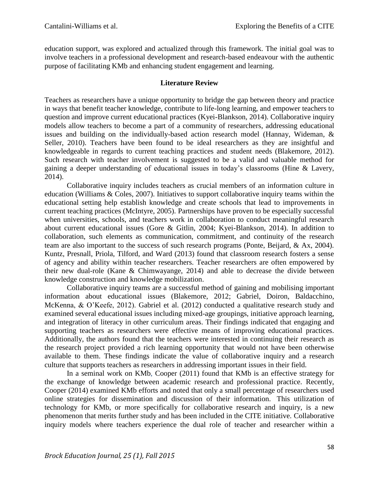education support, was explored and actualized through this framework. The initial goal was to involve teachers in a professional development and research-based endeavour with the authentic purpose of facilitating KMb and enhancing student engagement and learning.

## **Literature Review**

Teachers as researchers have a unique opportunity to bridge the gap between theory and practice in ways that benefit teacher knowledge, contribute to life-long learning, and empower teachers to question and improve current educational practices (Kyei-Blankson, 2014). Collaborative inquiry models allow teachers to become a part of a community of researchers, addressing educational issues and building on the individually-based action research model (Hannay, Wideman, & Seller, 2010). Teachers have been found to be ideal researchers as they are insightful and knowledgeable in regards to current teaching practices and student needs (Blakemore, 2012). Such research with teacher involvement is suggested to be a valid and valuable method for gaining a deeper understanding of educational issues in today's classrooms (Hine & Lavery, 2014).

Collaborative inquiry includes teachers as crucial members of an information culture in education (Williams & Coles, 2007). Initiatives to support collaborative inquiry teams within the educational setting help establish knowledge and create schools that lead to improvements in current teaching practices (McIntyre, 2005). Partnerships have proven to be especially successful when universities, schools, and teachers work in collaboration to conduct meaningful research about current educational issues (Gore & Gitlin, 2004; Kyei-Blankson, 2014). In addition to collaboration, such elements as communication, commitment, and continuity of the research team are also important to the success of such research programs (Ponte, Beijard, & Ax, 2004). Kuntz, Presnall, Priola, Tilford, and Ward (2013) found that classroom research fosters a sense of agency and ability within teacher researchers. Teacher researchers are often empowered by their new dual-role (Kane & Chimwayange, 2014) and able to decrease the divide between knowledge construction and knowledge mobilization.

Collaborative inquiry teams are a successful method of gaining and mobilising important information about educational issues (Blakemore, 2012; Gabriel, Doiron, Baldacchino, McKenna, & O'Keefe, 2012). Gabriel et al. (2012) conducted a qualitative research study and examined several educational issues including mixed-age groupings, initiative approach learning, and integration of literacy in other curriculum areas. Their findings indicated that engaging and supporting teachers as researchers were effective means of improving educational practices. Additionally, the authors found that the teachers were interested in continuing their research as the research project provided a rich learning opportunity that would not have been otherwise available to them. These findings indicate the value of collaborative inquiry and a research culture that supports teachers as researchers in addressing important issues in their field.

In a seminal work on KMb, Cooper (2011) found that KMb is an effective strategy for the exchange of knowledge between academic research and professional practice. Recently, Cooper (2014) examined KMb efforts and noted that only a small percentage of researchers used online strategies for dissemination and discussion of their information. This utilization of technology for KMb, or more specifically for collaborative research and inquiry, is a new phenomenon that merits further study and has been included in the CITE initiative. Collaborative inquiry models where teachers experience the dual role of teacher and researcher within a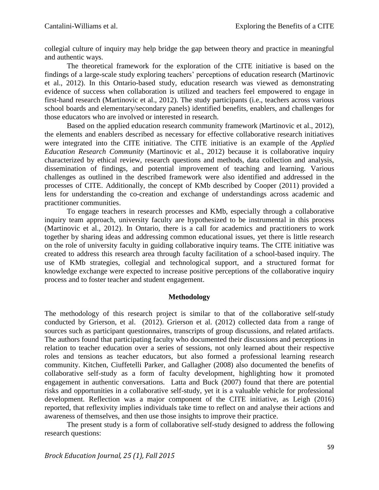collegial culture of inquiry may help bridge the gap between theory and practice in meaningful and authentic ways.

The theoretical framework for the exploration of the CITE initiative is based on the findings of a large-scale study exploring teachers' perceptions of education research (Martinovic et al., 2012). In this Ontario-based study, education research was viewed as demonstrating evidence of success when collaboration is utilized and teachers feel empowered to engage in first-hand research (Martinovic et al., 2012). The study participants (i.e., teachers across various school boards and elementary/secondary panels) identified benefits, enablers, and challenges for those educators who are involved or interested in research.

Based on the applied education research community framework (Martinovic et al., 2012), the elements and enablers described as necessary for effective collaborative research initiatives were integrated into the CITE initiative. The CITE initiative is an example of the *Applied Education Research Community* (Martinovic et al., 2012) because it is collaborative inquiry characterized by ethical review, research questions and methods, data collection and analysis, dissemination of findings, and potential improvement of teaching and learning. Various challenges as outlined in the described framework were also identified and addressed in the processes of CITE. Additionally, the concept of KMb described by Cooper (2011) provided a lens for understanding the co-creation and exchange of understandings across academic and practitioner communities.

To engage teachers in research processes and KMb, especially through a collaborative inquiry team approach, university faculty are hypothesized to be instrumental in this process (Martinovic et al., 2012). In Ontario, there is a call for academics and practitioners to work together by sharing ideas and addressing common educational issues, yet there is little research on the role of university faculty in guiding collaborative inquiry teams. The CITE initiative was created to address this research area through faculty facilitation of a school-based inquiry. The use of KMb strategies, collegial and technological support, and a structured format for knowledge exchange were expected to increase positive perceptions of the collaborative inquiry process and to foster teacher and student engagement.

## **Methodology**

The methodology of this research project is similar to that of the collaborative self-study conducted by Grierson, et al. (2012). Grierson et al. (2012) collected data from a range of sources such as participant questionnaires, transcripts of group discussions, and related artifacts. The authors found that participating faculty who documented their discussions and perceptions in relation to teacher education over a series of sessions, not only learned about their respective roles and tensions as teacher educators, but also formed a professional learning research community. Kitchen, Ciuffetelli Parker, and Gallagher (2008) also documented the benefits of collaborative self-study as a form of faculty development, highlighting how it promoted engagement in authentic conversations. Latta and Buck (2007) found that there are potential risks and opportunities in a collaborative self-study, yet it is a valuable vehicle for professional development. Reflection was a major component of the CITE initiative, as Leigh (2016) reported, that reflexivity implies individuals take time to reflect on and analyse their actions and awareness of themselves, and then use those insights to improve their practice.

The present study is a form of collaborative self-study designed to address the following research questions: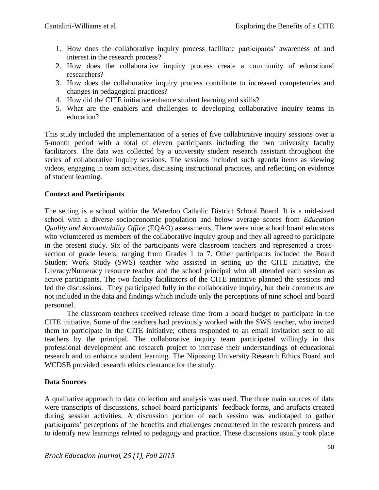- 1. How does the collaborative inquiry process facilitate participants' awareness of and interest in the research process?
- 2. How does the collaborative inquiry process create a community of educational researchers?
- 3. How does the collaborative inquiry process contribute to increased competencies and changes in pedagogical practices?
- 4. How did the CITE initiative enhance student learning and skills?
- 5. What are the enablers and challenges to developing collaborative inquiry teams in education?

This study included the implementation of a series of five collaborative inquiry sessions over a 5-month period with a total of eleven participants including the two university faculty facilitators. The data was collected by a university student research assistant throughout the series of collaborative inquiry sessions. The sessions included such agenda items as viewing videos, engaging in team activities, discussing instructional practices, and reflecting on evidence of student learning.

# **Context and Participants**

The setting is a school within the Waterloo Catholic District School Board. It is a mid-sized school with a diverse socioeconomic population and below average scores from *Education Quality and Accountability Office* (EQAO) assessments. There were nine school board educators who volunteered as members of the collaborative inquiry group and they all agreed to participate in the present study. Six of the participants were classroom teachers and represented a crosssection of grade levels, ranging from Grades 1 to 7. Other participants included the Board Student Work Study (SWS) teacher who assisted in setting up the CITE initiative, the Literacy/Numeracy resource teacher and the school principal who all attended each session as active participants. The two faculty facilitators of the CITE initiative planned the sessions and led the discussions. They participated fully in the collaborative inquiry, but their comments are not included in the data and findings which include only the perceptions of nine school and board personnel.

The classroom teachers received release time from a board budget to participate in the CITE initiative. Some of the teachers had previously worked with the SWS teacher, who invited them to participate in the CITE initiative; others responded to an email invitation sent to all teachers by the principal. The collaborative inquiry team participated willingly in this professional development and research project to increase their understandings of educational research and to enhance student learning. The Nipissing University Research Ethics Board and WCDSB provided research ethics clearance for the study.

## **Data Sources**

A qualitative approach to data collection and analysis was used. The three main sources of data were transcripts of discussions, school board participants' feedback forms, and artifacts created during session activities. A discussion portion of each session was audiotaped to gather participants' perceptions of the benefits and challenges encountered in the research process and to identify new learnings related to pedagogy and practice. These discussions usually took place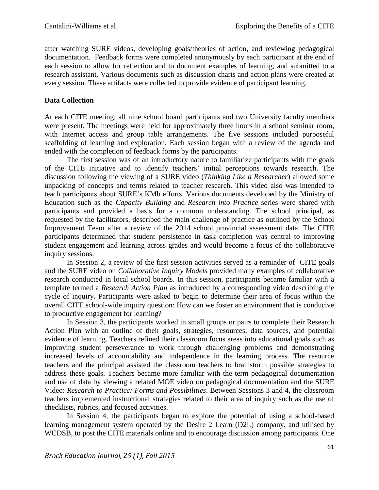after watching SURE videos, developing goals/theories of action, and reviewing pedagogical documentation. Feedback forms were completed anonymously by each participant at the end of each session to allow for reflection and to document examples of learning, and submitted to a research assistant. Various documents such as discussion charts and action plans were created at every session. These artifacts were collected to provide evidence of participant learning.

# **Data Collection**

At each CITE meeting, all nine school board participants and two University faculty members were present. The meetings were held for approximately three hours in a school seminar room, with Internet access and group table arrangements. The five sessions included purposeful scaffolding of learning and exploration. Each session began with a review of the agenda and ended with the completion of feedback forms by the participants.

The first session was of an introductory nature to familiarize participants with the goals of the CITE initiative and to identify teachers' initial perceptions towards research. The discussion following the viewing of a SURE video (*Thinking Like a Researcher*) allowed some unpacking of concepts and terms related to teacher research. This video also was intended to teach participants about SURE's KMb efforts. Various documents developed by the Ministry of Education such as the *Capacity Building* and *Research into Practice* series were shared with participants and provided a basis for a common understanding. The school principal, as requested by the facilitators, described the main challenge of practice as outlined by the School Improvement Team after a review of the 2014 school provincial assessment data. The CITE participants determined that student persistence in task completion was central to improving student engagement and learning across grades and would become a focus of the collaborative inquiry sessions.

In Session 2, a review of the first session activities served as a reminder of CITE goals and the SURE video on *Collaborative Inquiry Models* provided many examples of collaborative research conducted in local school boards. In this session, participants became familiar with a template termed a *Research Action Plan* as introduced by a corresponding video describing the cycle of inquiry. Participants were asked to begin to determine their area of focus within the overall CITE school-wide inquiry question: How can we foster an environment that is conducive to productive engagement for learning?

In Session 3, the participants worked in small groups or pairs to complete their Research Action Plan with an outline of their goals, strategies, resources, data sources, and potential evidence of learning. Teachers refined their classroom focus areas into educational goals such as improving student perseverance to work through challenging problems and demonstrating increased levels of accountability and independence in the learning process. The resource teachers and the principal assisted the classroom teachers to brainstorm possible strategies to address these goals. Teachers became more familiar with the term pedagogical documentation and use of data by viewing a related MOE video on pedagogical documentation and the SURE Video: *Research to Practice: Forms and Possibilities*. Between Sessions 3 and 4, the classroom teachers implemented instructional strategies related to their area of inquiry such as the use of checklists, rubrics, and focused activities.

In Session 4, the participants began to explore the potential of using a school-based learning management system operated by the Desire 2 Learn (D2L) company, and utilised by WCDSB, to post the CITE materials online and to encourage discussion among participants. One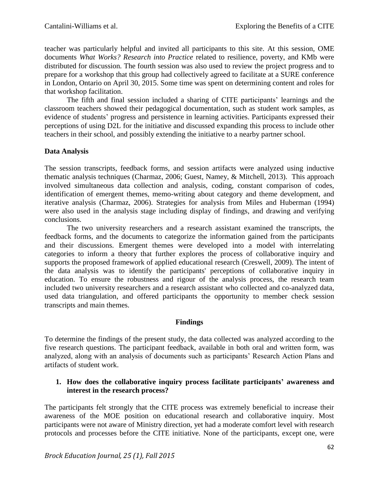teacher was particularly helpful and invited all participants to this site. At this session, OME documents *What Works? Research into Practice* related to resilience, poverty, and KMb were distributed for discussion. The fourth session was also used to review the project progress and to prepare for a workshop that this group had collectively agreed to facilitate at a SURE conference in London, Ontario on April 30, 2015. Some time was spent on determining content and roles for that workshop facilitation.

The fifth and final session included a sharing of CITE participants' learnings and the classroom teachers showed their pedagogical documentation, such as student work samples, as evidence of students' progress and persistence in learning activities. Participants expressed their perceptions of using D2L for the initiative and discussed expanding this process to include other teachers in their school, and possibly extending the initiative to a nearby partner school.

# **Data Analysis**

The session transcripts, feedback forms, and session artifacts were analyzed using inductive thematic analysis techniques (Charmaz, 2006; Guest, Namey, & Mitchell, 2013). This approach involved simultaneous data collection and analysis, coding, constant comparison of codes, identification of emergent themes, memo-writing about category and theme development, and iterative analysis (Charmaz, 2006). Strategies for analysis from Miles and Huberman (1994) were also used in the analysis stage including display of findings, and drawing and verifying conclusions.

The two university researchers and a research assistant examined the transcripts, the feedback forms, and the documents to categorize the information gained from the participants and their discussions. Emergent themes were developed into a model with interrelating categories to inform a theory that further explores the process of collaborative inquiry and supports the proposed framework of applied educational research (Creswell, 2009). The intent of the data analysis was to identify the participants' perceptions of collaborative inquiry in education. To ensure the robustness and rigour of the analysis process, the research team included two university researchers and a research assistant who collected and co-analyzed data, used data triangulation, and offered participants the opportunity to member check session transcripts and main themes.

## **Findings**

To determine the findings of the present study, the data collected was analyzed according to the five research questions. The participant feedback, available in both oral and written form, was analyzed, along with an analysis of documents such as participants' Research Action Plans and artifacts of student work.

# **1. How does the collaborative inquiry process facilitate participants' awareness and interest in the research process?**

The participants felt strongly that the CITE process was extremely beneficial to increase their awareness of the MOE position on educational research and collaborative inquiry. Most participants were not aware of Ministry direction, yet had a moderate comfort level with research protocols and processes before the CITE initiative. None of the participants, except one, were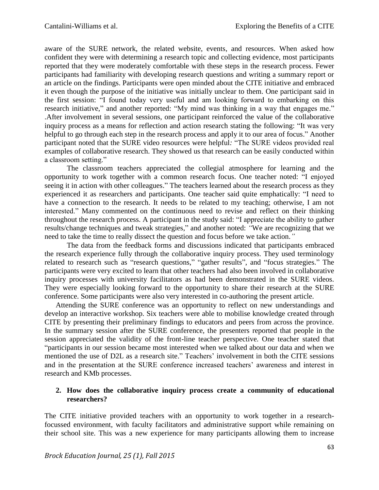aware of the SURE network, the related website, events, and resources. When asked how confident they were with determining a research topic and collecting evidence, most participants reported that they were moderately comfortable with these steps in the research process. Fewer participants had familiarity with developing research questions and writing a summary report or an article on the findings. Participants were open minded about the CITE initiative and embraced it even though the purpose of the initiative was initially unclear to them. One participant said in the first session: "I found today very useful and am looking forward to embarking on this research initiative," and another reported: "My mind was thinking in a way that engages me." .After involvement in several sessions, one participant reinforced the value of the collaborative inquiry process as a means for reflection and action research stating the following: "It was very helpful to go through each step in the research process and apply it to our area of focus." Another participant noted that the SURE video resources were helpful*:* "The SURE videos provided real examples of collaborative research. They showed us that research can be easily conducted within a classroom setting."

The classroom teachers appreciated the collegial atmosphere for learning and the opportunity to work together with a common research focus. One teacher noted: "I enjoyed seeing it in action with other colleagues." The teachers learned about the research process as they experienced it as researchers and participants. One teacher said quite emphatically: "I need to have a connection to the research. It needs to be related to my teaching; otherwise, I am not interested." Many commented on the continuous need to revise and reflect on their thinking throughout the research process. A participant in the study said: "I appreciate the ability to gather results/change techniques and tweak strategies," and another noted: *"*We are recognizing that we need to take the time to really dissect the question and focus before we take action*."* 

The data from the feedback forms and discussions indicated that participants embraced the research experience fully through the collaborative inquiry process. They used terminology related to research such as "research questions," "gather results", and "focus strategies." The participants were very excited to learn that other teachers had also been involved in collaborative inquiry processes with university facilitators as had been demonstrated in the SURE videos. They were especially looking forward to the opportunity to share their research at the SURE conference. Some participants were also very interested in co-authoring the present article.

Attending the SURE conference was an opportunity to reflect on new understandings and develop an interactive workshop. Six teachers were able to mobilise knowledge created through CITE by presenting their preliminary findings to educators and peers from across the province. In the summary session after the SURE conference, the presenters reported that people in the session appreciated the validity of the front-line teacher perspective*.* One teacher stated that "participants in our session became most interested when we talked about our data and when we mentioned the use of D2L as a research site." Teachers' involvement in both the CITE sessions and in the presentation at the SURE conference increased teachers' awareness and interest in research and KMb processes.

## **2. How does the collaborative inquiry process create a community of educational researchers?**

The CITE initiative provided teachers with an opportunity to work together in a researchfocussed environment, with faculty facilitators and administrative support while remaining on their school site. This was a new experience for many participants allowing them to increase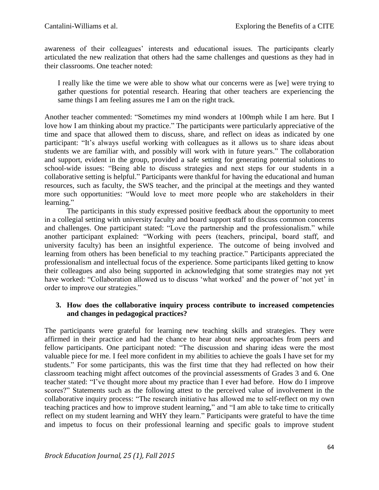awareness of their colleagues' interests and educational issues. The participants clearly articulated the new realization that others had the same challenges and questions as they had in their classrooms. One teacher noted:

I really like the time we were able to show what our concerns were as [we] were trying to gather questions for potential research. Hearing that other teachers are experiencing the same things I am feeling assures me I am on the right track.

Another teacher commented: "Sometimes my mind wonders at 100mph while I am here. But I love how I am thinking about my practice." The participants were particularly appreciative of the time and space that allowed them to discuss, share, and reflect on ideas as indicated by one participant: "It's always useful working with colleagues as it allows us to share ideas about students we are familiar with, and possibly will work with in future years." The collaboration and support, evident in the group, provided a safe setting for generating potential solutions to school-wide issues: "Being able to discuss strategies and next steps for our students in a collaborative setting is helpful." Participants were thankful for having the educational and human resources, such as faculty, the SWS teacher, and the principal at the meetings and they wanted more such opportunities: "Would love to meet more people who are stakeholders in their learning."

The participants in this study expressed positive feedback about the opportunity to meet in a collegial setting with university faculty and board support staff to discuss common concerns and challenges. One participant stated: "Love the partnership and the professionalism." while another participant explained: "Working with peers (teachers, principal, board staff, and university faculty) has been an insightful experience. The outcome of being involved and learning from others has been beneficial to my teaching practice." Participants appreciated the professionalism and intellectual focus of the experience. Some participants liked getting to know their colleagues and also being supported in acknowledging that some strategies may not yet have worked: "Collaboration allowed us to discuss 'what worked' and the power of 'not yet' in order to improve our strategies."

## **3. How does the collaborative inquiry process contribute to increased competencies and changes in pedagogical practices?**

The participants were grateful for learning new teaching skills and strategies. They were affirmed in their practice and had the chance to hear about new approaches from peers and fellow participants. One participant noted: "The discussion and sharing ideas were the most valuable piece for me. I feel more confident in my abilities to achieve the goals I have set for my students." For some participants, this was the first time that they had reflected on how their classroom teaching might affect outcomes of the provincial assessments of Grades 3 and 6. One teacher stated: "I've thought more about my practice than I ever had before. How do I improve scores?" Statements such as the following attest to the perceived value of involvement in the collaborative inquiry process: "The research initiative has allowed me to self-reflect on my own teaching practices and how to improve student learning," and "I am able to take time to critically reflect on my student learning and WHY they learn." Participants were grateful to have the time and impetus to focus on their professional learning and specific goals to improve student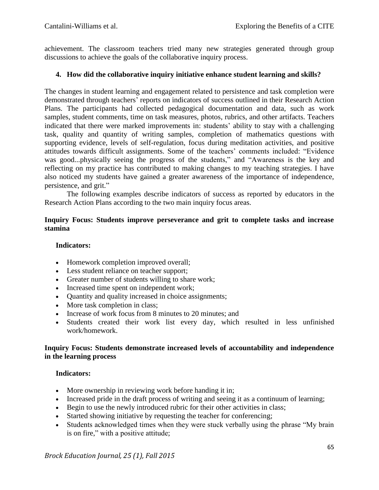achievement. The classroom teachers tried many new strategies generated through group discussions to achieve the goals of the collaborative inquiry process.

## **4. How did the collaborative inquiry initiative enhance student learning and skills?**

The changes in student learning and engagement related to persistence and task completion were demonstrated through teachers' reports on indicators of success outlined in their Research Action Plans. The participants had collected pedagogical documentation and data, such as work samples, student comments, time on task measures, photos, rubrics, and other artifacts. Teachers indicated that there were marked improvements in: students' ability to stay with a challenging task, quality and quantity of writing samples, completion of mathematics questions with supporting evidence, levels of self-regulation, focus during meditation activities, and positive attitudes towards difficult assignments. Some of the teachers' comments included: "Evidence was good...physically seeing the progress of the students," and "Awareness is the key and reflecting on my practice has contributed to making changes to my teaching strategies. I have also noticed my students have gained a greater awareness of the importance of independence, persistence, and grit."

The following examples describe indicators of success as reported by educators in the Research Action Plans according to the two main inquiry focus areas.

#### **Inquiry Focus: Students improve perseverance and grit to complete tasks and increase stamina**

#### **Indicators:**

- Homework completion improved overall;
- Less student reliance on teacher support;
- Greater number of students willing to share work;
- Increased time spent on independent work;
- Quantity and quality increased in choice assignments;
- More task completion in class;
- Increase of work focus from 8 minutes to 20 minutes; and
- Students created their work list every day, which resulted in less unfinished work/homework.

#### **Inquiry Focus: Students demonstrate increased levels of accountability and independence in the learning process**

## **Indicators:**

- More ownership in reviewing work before handing it in;
- Increased pride in the draft process of writing and seeing it as a continuum of learning;
- Begin to use the newly introduced rubric for their other activities in class;
- Started showing initiative by requesting the teacher for conferencing;
- Students acknowledged times when they were stuck verbally using the phrase "My brain is on fire," with a positive attitude;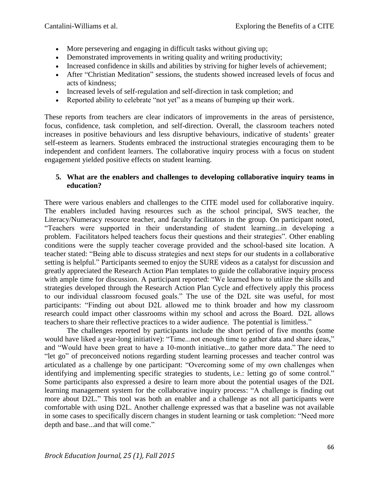- More persevering and engaging in difficult tasks without giving up;
- Demonstrated improvements in writing quality and writing productivity;
- Increased confidence in skills and abilities by striving for higher levels of achievement;
- After "Christian Meditation" sessions, the students showed increased levels of focus and acts of kindness;
- Increased levels of self-regulation and self-direction in task completion; and
- Reported ability to celebrate "not yet" as a means of bumping up their work.

These reports from teachers are clear indicators of improvements in the areas of persistence, focus, confidence, task completion, and self-direction. Overall, the classroom teachers noted increases in positive behaviours and less disruptive behaviours, indicative of students' greater self-esteem as learners. Students embraced the instructional strategies encouraging them to be independent and confident learners. The collaborative inquiry process with a focus on student engagement yielded positive effects on student learning.

#### **5. What are the enablers and challenges to developing collaborative inquiry teams in education?**

There were various enablers and challenges to the CITE model used for collaborative inquiry. The enablers included having resources such as the school principal, SWS teacher, the Literacy/Numeracy resource teacher, and faculty facilitators in the group. On participant noted, "Teachers were supported in their understanding of student learning...in developing a problem. Facilitators helped teachers focus their questions and their strategies". Other enabling conditions were the supply teacher coverage provided and the school-based site location. A teacher stated: "Being able to discuss strategies and next steps for our students in a collaborative setting is helpful." Participants seemed to enjoy the SURE videos as a catalyst for discussion and greatly appreciated the Research Action Plan templates to guide the collaborative inquiry process with ample time for discussion. A participant reported: "We learned how to utilize the skills and strategies developed through the Research Action Plan Cycle and effectively apply this process to our individual classroom focused goals." The use of the D2L site was useful, for most participants: "Finding out about D2L allowed me to think broader and how my classroom research could impact other classrooms within my school and across the Board. D2L allows teachers to share their reflective practices to a wider audience. The potential is limitless."

The challenges reported by participants include the short period of five months (some would have liked a year-long initiative): "Time...not enough time to gather data and share ideas," and "Would have been great to have a 10-month initiative...to gather more data." The need to "let go" of preconceived notions regarding student learning processes and teacher control was articulated as a challenge by one participant: "Overcoming some of my own challenges when identifying and implementing specific strategies to students, i.e.: letting go of some control." Some participants also expressed a desire to learn more about the potential usages of the D2L learning management system for the collaborative inquiry process: "A challenge is finding out more about D2L." This tool was both an enabler and a challenge as not all participants were comfortable with using D2L. Another challenge expressed was that a baseline was not available in some cases to specifically discern changes in student learning or task completion: "Need more depth and base...and that will come."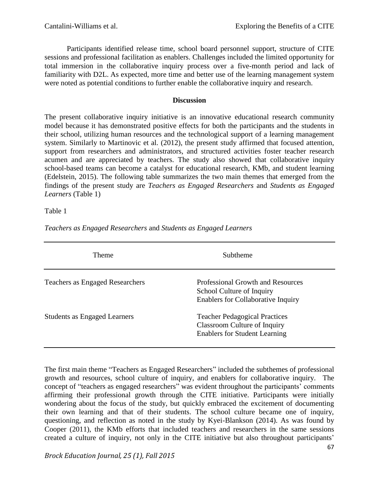Participants identified release time, school board personnel support, structure of CITE sessions and professional facilitation as enablers. Challenges included the limited opportunity for total immersion in the collaborative inquiry process over a five-month period and lack of familiarity with D2L. As expected, more time and better use of the learning management system were noted as potential conditions to further enable the collaborative inquiry and research.

#### **Discussion**

The present collaborative inquiry initiative is an innovative educational research community model because it has demonstrated positive effects for both the participants and the students in their school, utilizing human resources and the technological support of a learning management system. Similarly to Martinovic et al. (2012), the present study affirmed that focused attention, support from researchers and administrators, and structured activities foster teacher research acumen and are appreciated by teachers. The study also showed that collaborative inquiry school-based teams can become a catalyst for educational research, KMb, and student learning (Edelstein, 2015). The following table summarizes the two main themes that emerged from the findings of the present study are *Teachers as Engaged Researchers* and *Students as Engaged Learners* (Table 1)

#### Table 1

| Theme                                  | Subtheme                                                                                                     |
|----------------------------------------|--------------------------------------------------------------------------------------------------------------|
| <b>Teachers as Engaged Researchers</b> | Professional Growth and Resources<br>School Culture of Inquiry<br><b>Enablers for Collaborative Inquiry</b>  |
| <b>Students as Engaged Learners</b>    | <b>Teacher Pedagogical Practices</b><br>Classroom Culture of Inquiry<br><b>Enablers for Student Learning</b> |

*Teachers as Engaged Researchers* and *Students as Engaged Learners*

The first main theme "Teachers as Engaged Researchers" included the subthemes of professional growth and resources, school culture of inquiry, and enablers for collaborative inquiry. The concept of "teachers as engaged researchers" was evident throughout the participants' comments affirming their professional growth through the CITE initiative. Participants were initially wondering about the focus of the study, but quickly embraced the excitement of documenting their own learning and that of their students. The school culture became one of inquiry, questioning, and reflection as noted in the study by Kyei-Blankson (2014). As was found by Cooper (2011), the KMb efforts that included teachers and researchers in the same sessions created a culture of inquiry, not only in the CITE initiative but also throughout participants'

*Brock Education Journal, 25 (1), Fall 2015*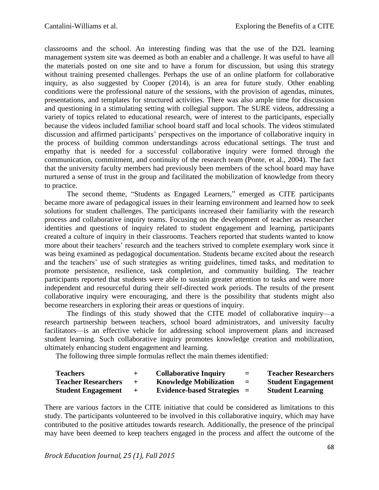classrooms and the school. An interesting finding was that the use of the D2L learning management system site was deemed as both an enabler and a challenge. It was useful to have all the materials posted on one site and to have a forum for discussion, but using this strategy without training presented challenges. Perhaps the use of an online platform for collaborative inquiry, as also suggested by Cooper (2014), is an area for future study. Other enabling conditions were the professional nature of the sessions, with the provision of agendas, minutes, presentations, and templates for structured activities. There was also ample time for discussion and questioning in a stimulating setting with collegial support. The SURE videos, addressing a variety of topics related to educational research, were of interest to the participants, especially because the videos included familiar school board staff and local schools. The videos stimulated discussion and affirmed participants' perspectives on the importance of collaborative inquiry in the process of building common understandings across educational settings. The trust and empathy that is needed for a successful collaborative inquiry were formed through the communication, commitment, and continuity of the research team (Ponte, et al., 2004). The fact that the university faculty members had previously been members of the school board may have nurtured a sense of trust in the group and facilitated the mobilization of knowledge from theory to practice.

The second theme, "Students as Engaged Learners," emerged as CITE participants became more aware of pedagogical issues in their learning environment and learned how to seek solutions for student challenges. The participants increased their familiarity with the research process and collaborative inquiry teams. Focusing on the development of teacher as researcher identities and questions of inquiry related to student engagement and learning, participants created a culture of inquiry in their classrooms. Teachers reported that students wanted to know more about their teachers' research and the teachers strived to complete exemplary work since it was being examined as pedagogical documentation. Students became excited about the research and the teachers' use of such strategies as writing guidelines, timed tasks, and meditation to promote persistence, resilience, task completion, and community building. The teacher participants reported that students were able to sustain greater attention to tasks and were more independent and resourceful during their self-directed work periods. The results of the present collaborative inquiry were encouraging, and there is the possibility that students might also become researchers in exploring their areas or questions of inquiry.

The findings of this study showed that the CITE model of collaborative inquiry—a research partnership between teachers, school board administrators, and university faculty facilitators—is an effective vehicle for addressing school improvement plans and increased student learning. Such collaborative inquiry promotes knowledge creation and mobilization, ultimately enhancing student engagement and learning.

The following three simple formulas reflect the main themes identified:

| <b>Teachers</b>            | $+$ | <b>Collaborative Inquiry</b>  | $=$ | <b>Teacher Researchers</b> |
|----------------------------|-----|-------------------------------|-----|----------------------------|
| <b>Teacher Researchers</b> | $+$ | <b>Knowledge Mobilization</b> | $=$ | <b>Student Engagement</b>  |
| <b>Student Engagement</b>  | $+$ | $Evidence-based Strategies =$ |     | <b>Student Learning</b>    |

There are various factors in the CITE initiative that could be considered as limitations to this study. The participants volunteered to be involved in this collaborative inquiry, which may have contributed to the positive attitudes towards research. Additionally, the presence of the principal may have been deemed to keep teachers engaged in the process and affect the outcome of the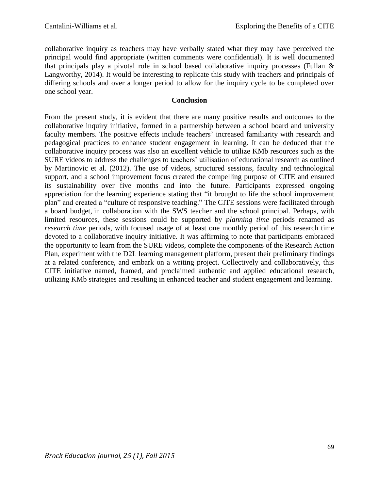collaborative inquiry as teachers may have verbally stated what they may have perceived the principal would find appropriate (written comments were confidential). It is well documented that principals play a pivotal role in school based collaborative inquiry processes (Fullan & Langworthy, 2014). It would be interesting to replicate this study with teachers and principals of differing schools and over a longer period to allow for the inquiry cycle to be completed over one school year.

## **Conclusion**

From the present study, it is evident that there are many positive results and outcomes to the collaborative inquiry initiative, formed in a partnership between a school board and university faculty members. The positive effects include teachers' increased familiarity with research and pedagogical practices to enhance student engagement in learning. It can be deduced that the collaborative inquiry process was also an excellent vehicle to utilize KMb resources such as the SURE videos to address the challenges to teachers' utilisation of educational research as outlined by Martinovic et al. (2012). The use of videos, structured sessions, faculty and technological support, and a school improvement focus created the compelling purpose of CITE and ensured its sustainability over five months and into the future. Participants expressed ongoing appreciation for the learning experience stating that "it brought to life the school improvement plan" and created a "culture of responsive teaching." The CITE sessions were facilitated through a board budget, in collaboration with the SWS teacher and the school principal. Perhaps, with limited resources, these sessions could be supported by *planning time* periods renamed as *research time* periods, with focused usage of at least one monthly period of this research time devoted to a collaborative inquiry initiative. It was affirming to note that participants embraced the opportunity to learn from the SURE videos, complete the components of the Research Action Plan, experiment with the D2L learning management platform, present their preliminary findings at a related conference, and embark on a writing project. Collectively and collaboratively, this CITE initiative named, framed, and proclaimed authentic and applied educational research, utilizing KMb strategies and resulting in enhanced teacher and student engagement and learning.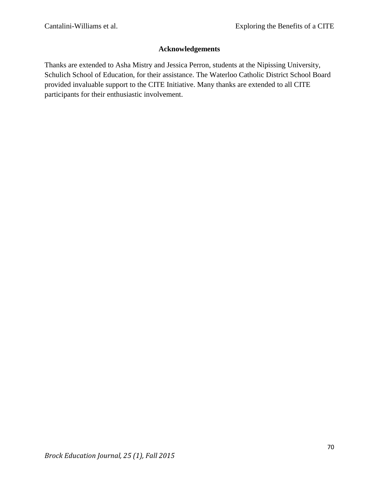# **Acknowledgements**

Thanks are extended to Asha Mistry and Jessica Perron, students at the Nipissing University, Schulich School of Education, for their assistance. The Waterloo Catholic District School Board provided invaluable support to the CITE Initiative. Many thanks are extended to all CITE participants for their enthusiastic involvement.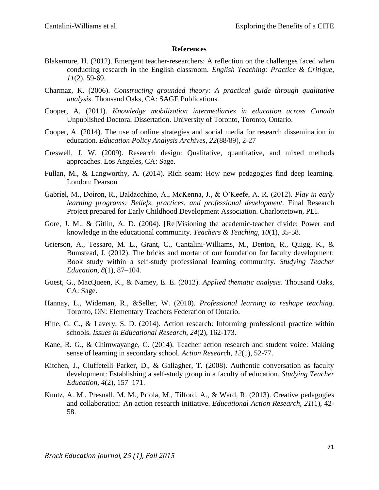#### **References**

- Blakemore, H. (2012). Emergent teacher-researchers: A reflection on the challenges faced when conducting research in the English classroom. *English Teaching: Practice & Critique*, *11*(2), 59-69.
- Charmaz, K. (2006). *Constructing grounded theory: A practical guide through qualitative analysis*. Thousand Oaks, CA: SAGE Publications.
- Cooper, A. (2011). *Knowledge mobilization intermediaries in education across Canada* Unpublished Doctoral Dissertation. University of Toronto, Toronto, Ontario.
- Cooper, A. (2014). The use of online strategies and social media for research dissemination in education. *Education Policy Analysis Archives*, *22*(88/89), 2-27
- Creswell, J. W. (2009). Research design: Qualitative, quantitative, and mixed methods approaches. Los Angeles, CA: Sage.
- Fullan, M., & Langworthy, A. (2014). Rich seam: How new pedagogies find deep learning. London: Pearson
- Gabriel, M., Doiron, R., Baldacchino, A., McKenna, J., & O'Keefe, A. R. (2012). *Play in early learning programs: Beliefs, practices, and professional development.* Final Research Project prepared for Early Childhood Development Association. Charlottetown, PEI.
- Gore, J. M., & Gitlin, A. D. (2004). [Re]Visioning the academic-teacher divide: Power and knowledge in the educational community. *Teachers & Teaching, 10*(1), 35-58.
- Grierson, A., Tessaro, M. L., Grant, C., Cantalini-Williams, M., Denton, R., Quigg, K., & Bumstead, J. (2012). The bricks and mortar of our foundation for faculty development: Book study within a self-study professional learning community. *Studying Teacher Education, 8*(1), 87–104.
- Guest, G., MacQueen, K., & Namey, E. E. (2012). *Applied thematic analysis*. Thousand Oaks, CA: Sage.
- Hannay, L., Wideman, R., &Seller, W. (2010). *Professional learning to reshape teaching*. Toronto, ON: Elementary Teachers Federation of Ontario.
- Hine, G. C., & Lavery, S. D. (2014). Action research: Informing professional practice within schools. *Issues in Educational Research*, *24*(2), 162-173.
- Kane, R. G., & Chimwayange, C. (2014). Teacher action research and student voice: Making sense of learning in secondary school. *Action Researc*h, *12*(1), 52-77.
- Kitchen, J., Ciuffetelli Parker, D., & Gallagher, T. (2008). Authentic conversation as faculty development: Establishing a self-study group in a faculty of education. *Studying Teacher Education, 4*(2), 157–171.
- Kuntz, A. M., Presnall, M. M., Priola, M., Tilford, A., & Ward, R. (2013). Creative pedagogies and collaboration: An action research initiative. *Educational Action Research, 21*(1), 42- 58.